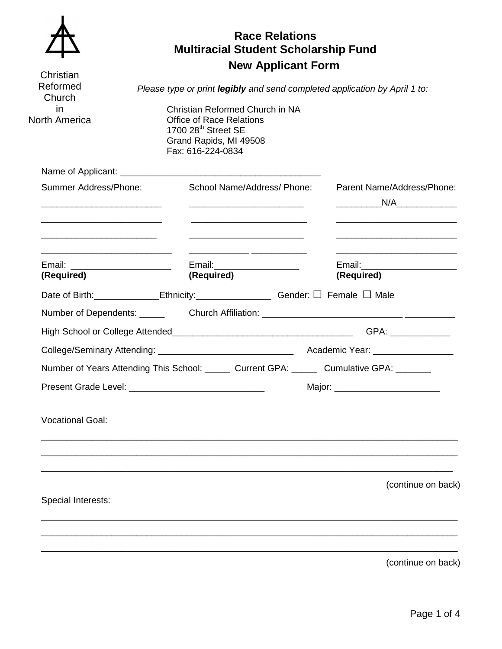| Christian<br>Reformed<br>Church<br>in.<br><b>North America</b> | <b>Race Relations</b><br><b>Multiracial Student Scholarship Fund</b><br><b>New Applicant Form</b><br>Please type or print legibly and send completed application by April 1 to:<br>Christian Reformed Church in NA<br><b>Office of Race Relations</b><br>1700 28 <sup>th</sup> Street SE<br>Grand Rapids, MI 49508<br>Fax: 616-224-0834 |  |                                                                                          |  |  |
|----------------------------------------------------------------|-----------------------------------------------------------------------------------------------------------------------------------------------------------------------------------------------------------------------------------------------------------------------------------------------------------------------------------------|--|------------------------------------------------------------------------------------------|--|--|
| Summer Address/Phone:                                          | School Name/Address/ Phone:                                                                                                                                                                                                                                                                                                             |  | Parent Name/Address/Phone:                                                               |  |  |
|                                                                |                                                                                                                                                                                                                                                                                                                                         |  | N/A                                                                                      |  |  |
| (Required)                                                     | Email:______________________<br>(Required)                                                                                                                                                                                                                                                                                              |  | (Required)                                                                               |  |  |
|                                                                | Date of Birth: _____________Ethnicity: ________________________Gender: □ Female □ Male                                                                                                                                                                                                                                                  |  |                                                                                          |  |  |
|                                                                |                                                                                                                                                                                                                                                                                                                                         |  | Number of Dependents: _______ Church Affiliation: _______________________________        |  |  |
|                                                                |                                                                                                                                                                                                                                                                                                                                         |  |                                                                                          |  |  |
|                                                                |                                                                                                                                                                                                                                                                                                                                         |  |                                                                                          |  |  |
|                                                                |                                                                                                                                                                                                                                                                                                                                         |  | Number of Years Attending This School: ______ Current GPA: ______ Cumulative GPA: ______ |  |  |
| Present Grade Level:                                           |                                                                                                                                                                                                                                                                                                                                         |  |                                                                                          |  |  |
| <b>Vocational Goal:</b>                                        |                                                                                                                                                                                                                                                                                                                                         |  |                                                                                          |  |  |
|                                                                |                                                                                                                                                                                                                                                                                                                                         |  |                                                                                          |  |  |
| Special Interests:                                             |                                                                                                                                                                                                                                                                                                                                         |  | (continue on back)                                                                       |  |  |
|                                                                |                                                                                                                                                                                                                                                                                                                                         |  |                                                                                          |  |  |
|                                                                |                                                                                                                                                                                                                                                                                                                                         |  | (continue on back)                                                                       |  |  |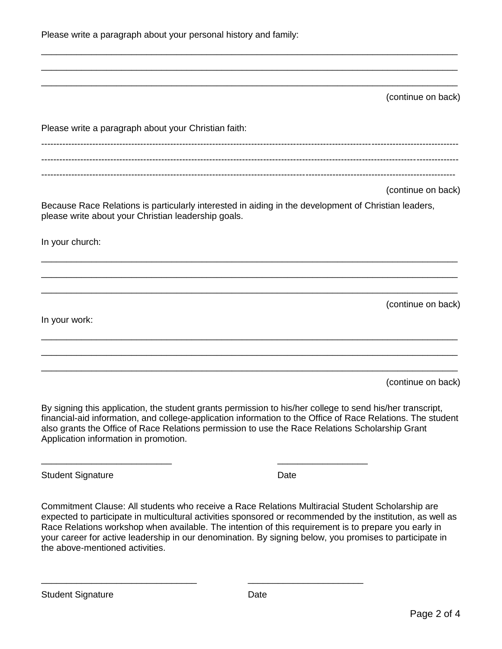|  | Please write a paragraph about your personal history and family: |
|--|------------------------------------------------------------------|
|--|------------------------------------------------------------------|

(continue on back)

| Please write a paragraph about your Christian faith:                                                                       |  |
|----------------------------------------------------------------------------------------------------------------------------|--|
| (continue on back)<br>Because Race Relations is particularly interested in aiding in the development of Christian leaders, |  |
| please write about your Christian leadership goals.<br>In your church:                                                     |  |
| (continue on back)                                                                                                         |  |
| In your work:                                                                                                              |  |
| (continue on back)                                                                                                         |  |

\_\_\_\_\_\_\_\_\_\_\_\_\_\_\_\_\_\_\_\_\_\_\_\_\_\_\_\_\_\_\_\_\_\_\_\_\_\_\_\_\_\_\_\_\_\_\_\_\_\_\_\_\_\_\_\_\_\_\_\_\_\_\_\_\_\_\_\_\_\_\_\_\_\_\_\_\_\_\_\_\_\_\_ \_\_\_\_\_\_\_\_\_\_\_\_\_\_\_\_\_\_\_\_\_\_\_\_\_\_\_\_\_\_\_\_\_\_\_\_\_\_\_\_\_\_\_\_\_\_\_\_\_\_\_\_\_\_\_\_\_\_\_\_\_\_\_\_\_\_\_\_\_\_\_\_\_\_\_\_\_\_\_\_\_\_\_ \_\_\_\_\_\_\_\_\_\_\_\_\_\_\_\_\_\_\_\_\_\_\_\_\_\_\_\_\_\_\_\_\_\_\_\_\_\_\_\_\_\_\_\_\_\_\_\_\_\_\_\_\_\_\_\_\_\_\_\_\_\_\_\_\_\_\_\_\_\_\_\_\_\_\_\_\_\_\_\_\_\_\_

By signing this application, the student grants permission to his/her college to send his/her transcript, financial-aid information, and college-application information to the Office of Race Relations. The student also grants the Office of Race Relations permission to use the Race Relations Scholarship Grant Application information in promotion.

\_\_\_\_\_\_\_\_\_\_\_\_\_\_\_\_\_\_\_\_\_\_\_\_\_\_ \_\_\_\_\_\_\_\_\_\_\_\_\_\_\_\_\_\_

\_\_\_\_\_\_\_\_\_\_\_\_\_\_\_\_\_\_\_\_\_\_\_\_\_\_\_\_\_\_\_ \_\_\_\_\_\_\_\_\_\_\_\_\_\_\_\_\_\_\_\_\_\_\_

Student Signature Date Date

Commitment Clause: All students who receive a Race Relations Multiracial Student Scholarship are expected to participate in multicultural activities sponsored or recommended by the institution, as well as Race Relations workshop when available. The intention of this requirement is to prepare you early in your career for active leadership in our denomination. By signing below, you promises to participate in the above-mentioned activities.

Student Signature Date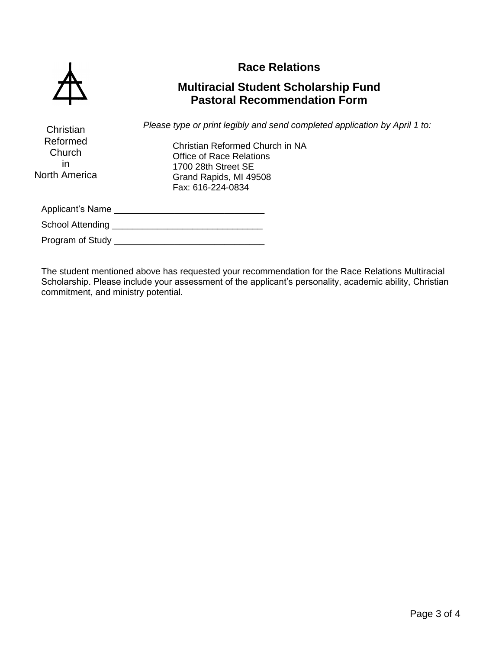

**Christian** 

## **Race Relations**

## **Multiracial Student Scholarship Fund Pastoral Recommendation Form**

*Please type or print legibly and send completed application by April 1 to:*

Christian Reformed Church in NA Office of Race Relations 1700 28th Street SE Grand Rapids, MI 49508 Fax: 616-224-0834 Applicant's Name \_\_\_\_\_\_\_\_\_\_\_\_\_\_\_\_\_\_\_\_\_\_\_\_\_\_\_\_\_\_ School Attending \_\_\_\_\_\_\_\_\_\_\_\_\_\_\_\_\_\_\_\_\_\_\_\_\_\_\_\_\_\_ Program of Study \_\_\_\_\_\_\_\_\_\_\_\_\_\_\_\_\_\_\_\_\_\_\_\_\_\_\_\_\_\_ Reformed **Church** in North America

The student mentioned above has requested your recommendation for the Race Relations Multiracial Scholarship. Please include your assessment of the applicant's personality, academic ability, Christian commitment, and ministry potential.